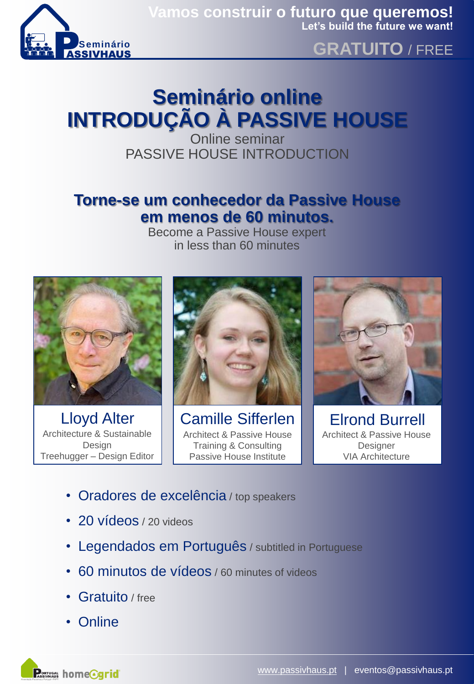

### **GRATUITO** / FREE

# **Seminário online INTRODUÇÃO À PASSIVE HOUSE**

Online seminar PASSIVE HOUSE INTRODUCTION

#### **Torne-se um conhecedor da Passive House em menos de 60 minutos.**

Become a Passive House expert in less than 60 minutes



Lloyd Alter Architecture & Sustainable Design Treehugger – Design Editor



Camille Sifferlen Architect & Passive House Training & Consulting Passive House Institute



Elrond Burrell Architect & Passive House **Designer** VIA Architecture

- Oradores de excelência / top speakers
- 20 vídeos / 20 videos
- Legendados em Português / subtitled in Portuguese
- 60 minutos de vídeos / 60 minutes of videos
- Gratuito / free
- Online